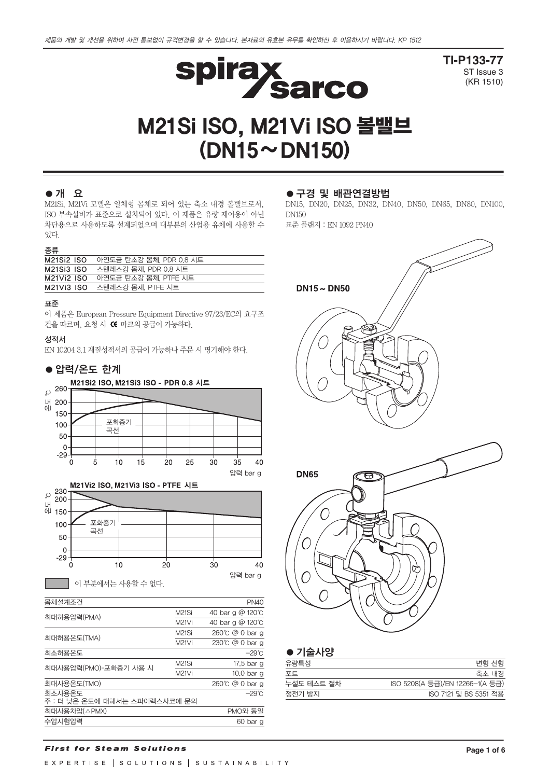

**TI-P133-77** ST Issue 3 (KR 1510)

# M21Si ISO, M21Vi ISO 볼밸브  $(DN15 \sim DN150)$

# ●개 요

M21Si, M21Vi 모델은 일체형 몸체로 되어 있는 축소 내경 볼밸브로서, ISO 부속설비가 표준으로 설치되어 있다. 이 제품은 유량 제어용이 아닌 차단용으로 사용하도록 설계되었으며 대부분의 산업용 유체에 사용할 수 있다.

#### 종류

| <b>M21Si2 ISO</b> | 아연도금 탄소강 몸체, PDR 0.8 시트 |
|-------------------|-------------------------|
| <b>M21Si3 ISO</b> | 스텐레스강 몸체, PDR 0.8 시트    |
| <b>M21Vi2 ISO</b> | 아연도금 탄소강 몸체, PTFE 시트    |
| <b>M21Vi3 ISO</b> | 스텐레스강 몸체. PTFE 시트       |
|                   |                         |

#### 표준

이 제품은 European Pressure Equipment Directive 97/23/EC의 요구조 건을 따르며, 요청 시 C 마크의 공급이 가능하다.

#### 성적서

EN 10204 3.1 재질성적서의 공급이 가능하나 주문 시 명기해야 한다.



#### ●구경 및 배관연결방법

DN15, DN20, DN25, DN32, DN40, DN50, DN65, DN80, DN100, DN150 표준 플랜지 : EN 1092 PN40

 $DN15 \sim DN50$ **DN65**  $\bm{\Theta}$ C

| 변형 선형                           |
|---------------------------------|
| 축소 내경                           |
| ISO 5208(A 등급)/EN 12266-1(A 등급) |
| ISO 7121 및 BS 5351 적용           |
|                                 |

#### **First for Steam Solutions**

수압시험압력 60 bar g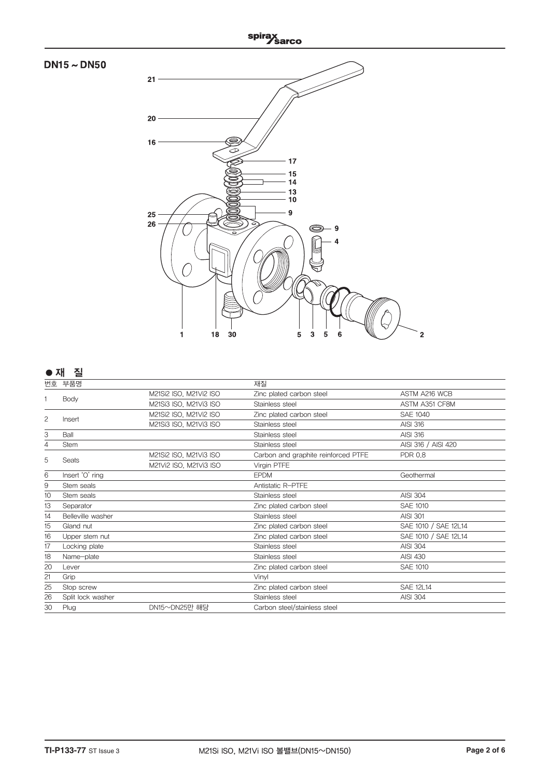

|    | 번호 부품명            |                        | 재질                                  |                      |
|----|-------------------|------------------------|-------------------------------------|----------------------|
|    | Body              | M21Si2 ISO, M21Vi2 ISO | Zinc plated carbon steel            | ASTM A216 WCB        |
|    |                   | M21Si3 ISO, M21Vi3 ISO | Stainless steel                     | ASTM A351 CF8M       |
| 2  | Insert            | M21Si2 ISO, M21Vi2 ISO | Zinc plated carbon steel            | <b>SAE 1040</b>      |
|    |                   | M21Si3 ISO, M21Vi3 ISO | Stainless steel                     | <b>AISI 316</b>      |
| 3  | Ball              |                        | Stainless steel                     | <b>AISI 316</b>      |
| 4  | <b>Stem</b>       |                        | Stainless steel                     | AISI 316 / AISI 420  |
|    | Seats             | M21Si2 ISO, M21Vi3 ISO | Carbon and graphite reinforced PTFE | <b>PDR 0.8</b>       |
| 5  |                   | M21Vi2 ISO, M21Vi3 ISO | Virgin PTFE                         |                      |
| 6  | Insert 'O' ring   |                        | <b>EPDM</b>                         | Geothermal           |
| 9  | Stem seals        |                        | Antistatic R-PTFE                   |                      |
| 10 | Stem seals        |                        | Stainless steel                     | <b>AISI 304</b>      |
| 13 | Separator         |                        | Zinc plated carbon steel            | <b>SAE 1010</b>      |
| 14 | Belleville washer |                        | Stainless steel                     | <b>AISI 301</b>      |
| 15 | Gland nut         |                        | Zinc plated carbon steel            | SAE 1010 / SAE 12L14 |
| 16 | Upper stem nut    |                        | Zinc plated carbon steel            | SAE 1010 / SAE 12L14 |
| 17 | Locking plate     |                        | Stainless steel                     | <b>AISI 304</b>      |
| 18 | Name-plate        |                        | Stainless steel                     | <b>AISI 430</b>      |
| 20 | Lever             |                        | Zinc plated carbon steel            | <b>SAE 1010</b>      |
| 21 | Grip              |                        | Vinvl                               |                      |
| 25 | Stop screw        |                        | Zinc plated carbon steel            | <b>SAE 12L14</b>     |
| 26 | Split lock washer |                        | Stainless steel                     | <b>AISI 304</b>      |
| 30 | Plug              | DN15~DN25만 해당          | Carbon steel/stainless steel        |                      |
|    |                   |                        |                                     |                      |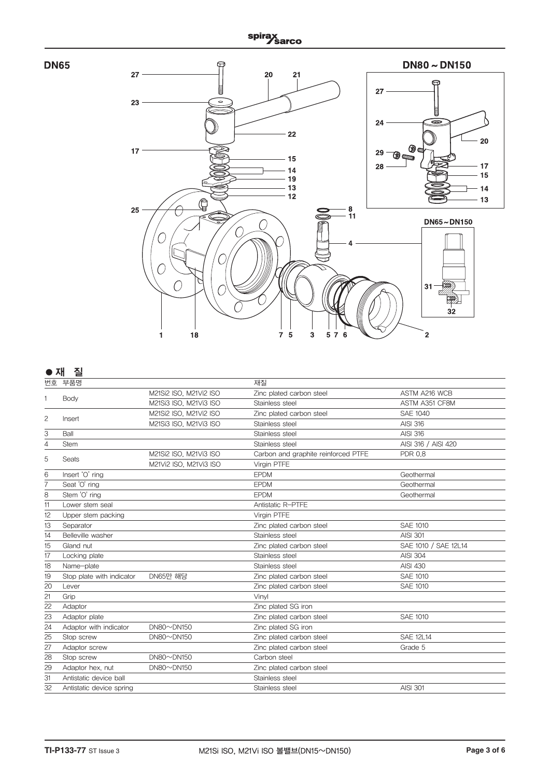



# **●** 재 질

| 번호 | 부품명                       |                             | 재질                                  |                      |
|----|---------------------------|-----------------------------|-------------------------------------|----------------------|
|    |                           | M21Si2 ISO, M21Vi2 ISO      | Zinc plated carbon steel            | ASTM A216 WCB        |
|    | Body                      | M21Si3 ISO, M21Vi3 ISO      | Stainless steel                     | ASTM A351 CF8M       |
|    |                           | M21Si2 ISO, M21Vi2 ISO      | Zinc plated carbon steel            | <b>SAE 1040</b>      |
| 2  | Insert                    | M21Si3 ISO, M21Vi3 ISO      | Stainless steel                     | <b>AISI 316</b>      |
| 3  | Ball                      |                             | Stainless steel                     | <b>AISI 316</b>      |
| 4  | Stem                      |                             | Stainless steel                     | AISI 316 / AISI 420  |
| 5  |                           | M21Si2 ISO, M21Vi3 ISO      | Carbon and graphite reinforced PTFE | <b>PDR 0.8</b>       |
|    | Seats                     | M21Vi2 ISO, M21Vi3 ISO      | Virgin PTFE                         |                      |
| 6  | Insert 'O' ring           |                             | <b>EPDM</b>                         | Geothermal           |
|    | Seat 'O' ring             |                             | <b>EPDM</b>                         | Geothermal           |
| 8  | Stem 'O' ring             |                             | <b>EPDM</b>                         | Geothermal           |
| 11 | Lower stem seal           |                             | Antistatic R-PTFE                   |                      |
| 12 | Upper stem packing        |                             | Virgin PTFE                         |                      |
| 13 | Separator                 |                             | Zinc plated carbon steel            | <b>SAE 1010</b>      |
| 14 | Belleville washer         |                             | Stainless steel                     | <b>AISI 301</b>      |
| 15 | Gland nut                 |                             | Zinc plated carbon steel            | SAE 1010 / SAE 12L14 |
| 17 | Locking plate             |                             | Stainless steel                     | <b>AISI 304</b>      |
| 18 | Name-plate                |                             | Stainless steel                     | <b>AISI 430</b>      |
| 19 | Stop plate with indicator | DN65만 해당                    | Zinc plated carbon steel            | <b>SAE 1010</b>      |
| 20 | Lever                     |                             | Zinc plated carbon steel            | <b>SAE 1010</b>      |
| 21 | Grip                      |                             | Vinvl                               |                      |
| 22 | Adaptor                   |                             | Zinc plated SG iron                 |                      |
| 23 | Adaptor plate             |                             | Zinc plated carbon steel            | <b>SAE 1010</b>      |
| 24 | Adaptor with indicator    | $DN80 \sim DN150$           | Zinc plated SG iron                 |                      |
| 25 | Stop screw                | $DN80\nightharpoonup DN150$ | Zinc plated carbon steel            | <b>SAE 12L14</b>     |
| 27 | Adaptor screw             |                             | Zinc plated carbon steel            | Grade 5              |
| 28 | Stop screw                | $DN80 \sim DN150$           | Carbon steel                        |                      |
| 29 | Adaptor hex, nut          | $DN80 \sim DN150$           | Zinc plated carbon steel            |                      |
| 31 | Antistatic device ball    |                             | Stainless steel                     |                      |
| 32 | Antistatic device spring  |                             | Stainless steel                     | <b>AISI 301</b>      |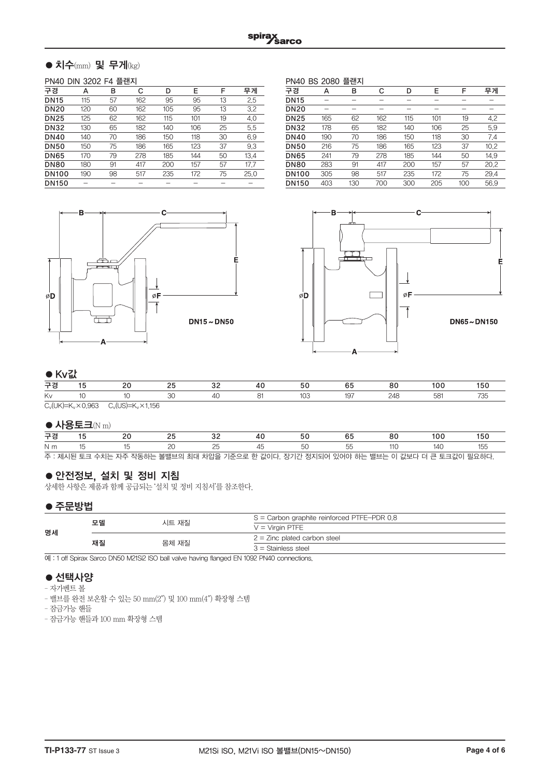# $\bullet$  치수(mm) 및 무게(kg)

#### PN40 DIN 3202 F4 플랜지

| 구경           | А   | в  | С   | D   | E   | F  | 무게   |
|--------------|-----|----|-----|-----|-----|----|------|
| <b>DN15</b>  | 115 | 57 | 162 | 95  | 95  | 13 | 2.5  |
| <b>DN20</b>  | 120 | 60 | 162 | 105 | 95  | 13 | 3.2  |
| <b>DN25</b>  | 125 | 62 | 162 | 115 | 101 | 19 | 4.0  |
| <b>DN32</b>  | 130 | 65 | 182 | 140 | 106 | 25 | 5.5  |
| <b>DN40</b>  | 140 | 70 | 186 | 150 | 118 | 30 | 6.9  |
| <b>DN50</b>  | 150 | 75 | 186 | 165 | 123 | 37 | 9.3  |
| <b>DN65</b>  | 170 | 79 | 278 | 185 | 144 | 50 | 13.4 |
| <b>DN80</b>  | 180 | 91 | 417 | 200 | 157 | 57 | 17.7 |
| <b>DN100</b> | 190 | 98 | 517 | 235 | 172 | 75 | 25.0 |
| <b>DN150</b> |     |    |     |     |     |    |      |
|              |     |    |     |     |     |    |      |

| 플랜지<br>PN40 BS 2080 |     |     |     |     |     |     |      |  |
|---------------------|-----|-----|-----|-----|-----|-----|------|--|
| 구경                  | А   | в   | C   | D   | E   | F   | 무게   |  |
| <b>DN15</b>         |     |     |     |     |     |     |      |  |
| <b>DN20</b>         |     |     |     |     |     |     |      |  |
| <b>DN25</b>         | 165 | 62  | 162 | 115 | 101 | 19  | 4.2  |  |
| <b>DN32</b>         | 178 | 65  | 182 | 140 | 106 | 25  | 5.9  |  |
| <b>DN40</b>         | 190 | 70  | 186 | 150 | 118 | 30  | 7.4  |  |
| <b>DN50</b>         | 216 | 75  | 186 | 165 | 123 | 37  | 10.2 |  |
| <b>DN65</b>         | 241 | 79  | 278 | 185 | 144 | 50  | 14.9 |  |
| <b>DN80</b>         | 283 | 91  | 417 | 200 | 157 | 57  | 20.2 |  |
| <b>DN100</b>        | 305 | 98  | 517 | 235 | 172 | 75  | 29.4 |  |
| <b>DN150</b>        | 403 | 130 | 700 | 300 | 205 | 100 | 56.9 |  |





#### $\bullet$  Kyz!

| 구경 |  |  |  |  |  |               | oτ | ov. |  | ЮU |
|----|--|--|--|--|--|---------------|----|-----|--|----|
| Kv |  |  |  |  |  | $\mathcal{L}$ |    |     |  |    |
|    |  |  |  |  |  |               |    |     |  |    |

 $\overline{C_v(UK)}=K_v\times 0.963$   $\overline{C_v(US)}=K_v\times 1.156$ 

#### $\bullet$  사용토크(N m)

| 구경             |  |  |  |  |                                                                                         |  |  |  |         | 50 |
|----------------|--|--|--|--|-----------------------------------------------------------------------------------------|--|--|--|---------|----|
| N <sub>m</sub> |  |  |  |  |                                                                                         |  |  |  | 1 ⁄ I ( |    |
|                |  |  |  |  | 주 : 제시된 토크 수치는 자주 작동하는 볼밸브의 최대 차압을 기준으로 한 값이다. 장기간 정지되어 있어야 하는 밸브는 이 값보다 더 큰 토크값이 필요하다. |  |  |  |         |    |

# ●안전정보, 설치 및 정비 지침

상세한 사항은 제품과 함께 공급되는 '설치 및 정비 지침서'를 참조한다.

## ●주문방법

| 명세 | 모델 | 시트 재질 | $S =$ Carbon graphite reinforced PTFE-PDR 0.8 |
|----|----|-------|-----------------------------------------------|
|    |    |       | $V = V$ irgin PTFE                            |
|    | 재질 | 몸체 재질 | $2 =$ Zinc plated carbon steel                |
|    |    |       | $3 =$ Stainless steel                         |

예 : 1 off Spirax Sarco DN50 M21Si2 ISO ball valve having flanged EN 1092 PN40 connections.

## ● 선택사양

- 자가벤트 볼
- 밸브를 완전 보온할 수 있는 50 mm(2″) 및 100 mm(4″) 확장형 스템

– 잠금가능 핸들

– 잠금가능 핸들과 100 mm 확장형 스템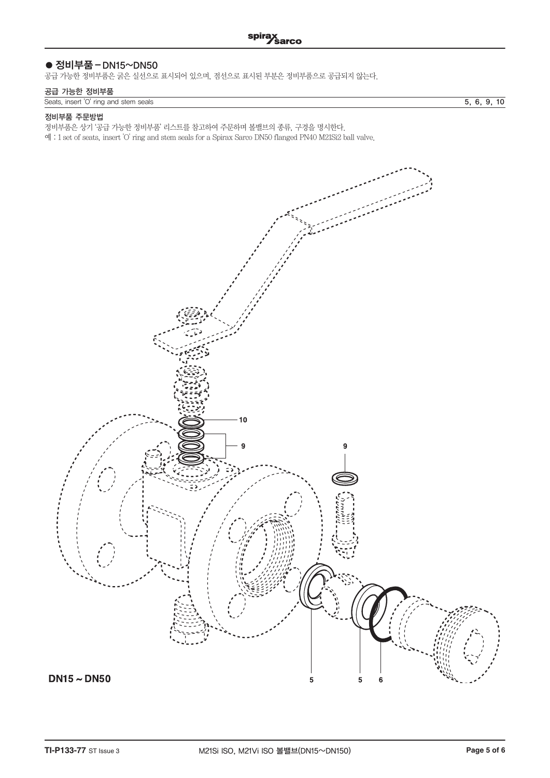# ● 정비부품 – DN15~DN50

공급 가능한 정비부품은 굵은 실선으로 표시되어 있으며, 점선으로 표시된 부분은 정비부품으로 공급되지 않는다.

#### 공급 가능한 정비부품

| Seats, insert 'O' ring and stem seals | 5. 6. 9. 10 |  |
|---------------------------------------|-------------|--|

#### 정비부품 주문방법

정비부품은 상기 '공급 가능한 정비부품' 리스트를 참고하여 주문하며 볼밸브의 종류, 구경을 명시한다.

예 : 1 set of seats, insert 'O' ring and stem seals for a Spirax Sarco DN50 flanged PN40 M21Si2 ball valve.